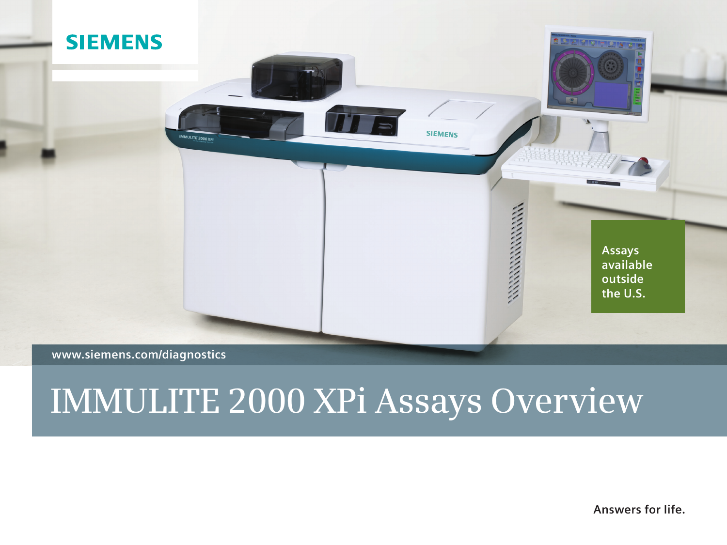

## **www.siemens.com/diagnostics**

# **IMMULITE 2000 XPi Assays Overview**

**Answers for life.**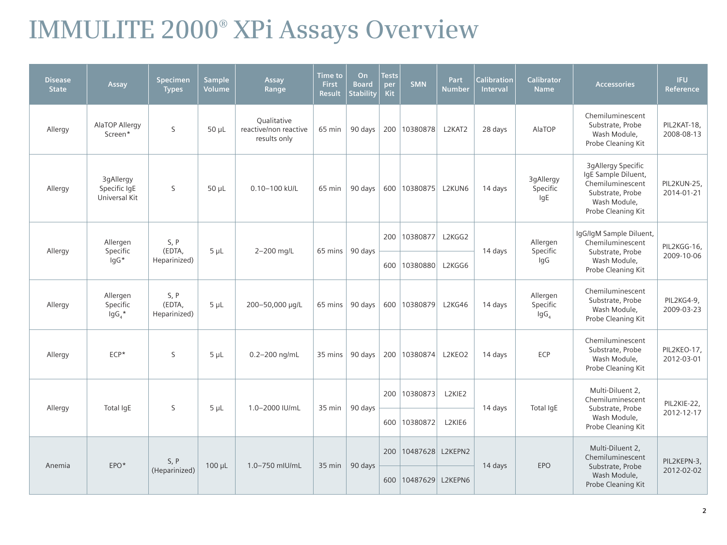# **IMMULITE 2000® XPi Assays Overview**

| <b>Disease</b><br><b>State</b> | Assay                                      | <b>Specimen</b><br><b>Types</b> | <b>Sample</b><br>Volume | Assay<br>Range                                       | <b>Time</b> to<br>First<br><b>Result</b> | <b>On</b><br><b>Board</b><br><b>Stability</b> | <b>Tests</b><br>per<br><b>Kit</b> | <b>SMN</b>              | <b>Part</b><br><b>Number</b> | Calibration<br>Interval | Calibrator<br><b>Name</b>         | <b>Accessories</b>                                                                                                             | <b>IFU</b><br>Reference   |
|--------------------------------|--------------------------------------------|---------------------------------|-------------------------|------------------------------------------------------|------------------------------------------|-----------------------------------------------|-----------------------------------|-------------------------|------------------------------|-------------------------|-----------------------------------|--------------------------------------------------------------------------------------------------------------------------------|---------------------------|
| Allergy                        | AlaTOP Allergy<br>Screen*                  | S                               | $50 \mu L$              | Qualitative<br>reactive/non reactive<br>results only | 65 min                                   | 90 days                                       | 200                               | 10380878                | L2KAT2                       | 28 days                 | AlaTOP                            | Chemiluminescent<br>Substrate, Probe<br>Wash Module,<br>Probe Cleaning Kit                                                     | PIL2KAT-18,<br>2008-08-13 |
| Allergy                        | 3gAllergy<br>Specific IgE<br>Universal Kit | S                               | $50 \mu L$              | 0.10-100 kU/L                                        | 65 min                                   | 90 days                                       |                                   | 600   10380875   L2KUN6 |                              | 14 days                 | 3gAllergy<br>Specific<br>IgE      | <b>3gAllergy Specific</b><br>IgE Sample Diluent,<br>Chemiluminescent<br>Substrate, Probe<br>Wash Module,<br>Probe Cleaning Kit | PIL2KUN-25,<br>2014-01-21 |
| Allergy                        | Allergen<br>Specific                       | S, P<br>(EDTA,                  | $5 \mu L$               | 2-200 mg/L                                           | $65$ mins                                | 90 days                                       | 200                               | 10380877                | L2KGG2                       | 14 days                 | Allergen<br>Specific              | IgG/IgM Sample Diluent,<br>Chemiluminescent<br>Substrate, Probe                                                                | PIL2KGG-16,               |
|                                | lgG*                                       | Heparinized)                    |                         |                                                      |                                          |                                               | 600                               | 10380880                | L2KGG6                       |                         | IgG                               | Wash Module,<br>Probe Cleaning Kit                                                                                             | 2009-10-06                |
| Allergy                        | Allergen<br>Specific<br>$\lg G_4$ *        | S, P<br>(EDTA,<br>Heparinized)  | $5 \mu L$               | 200-50,000 µg/L                                      | $65$ mins                                | 90 days                                       |                                   | 600   10380879          | L2KG46                       | 14 days                 | Allergen<br>Specific<br>$\lg G_4$ | Chemiluminescent<br>Substrate, Probe<br>Wash Module,<br>Probe Cleaning Kit                                                     | PIL2KG4-9,<br>2009-03-23  |
| Allergy                        | $ECP*$                                     | S                               | $5 \mu L$               | $0.2 - 200$ ng/mL                                    | 35 mins                                  | 90 days                                       |                                   | 200 10380874            | L2KEO2                       | 14 days                 | ECP                               | Chemiluminescent<br>Substrate, Probe<br>Wash Module,<br>Probe Cleaning Kit                                                     | PIL2KEO-17,<br>2012-03-01 |
|                                |                                            |                                 |                         |                                                      |                                          |                                               | 200                               | 10380873                | L2KIE2                       |                         |                                   | Multi-Diluent 2.<br>Chemiluminescent                                                                                           | PIL2KIE-22,               |
| Allergy                        | Total IqE                                  | S                               | $5 \mu L$               | 1.0-2000 IU/mL                                       | 35 min                                   | 90 days                                       | 600                               | 10380872                | L2KIE6                       | 14 days                 | Total IqE                         | Substrate, Probe<br>Wash Module,<br>Probe Cleaning Kit                                                                         | 2012-12-17                |
|                                |                                            | S, P                            |                         |                                                      |                                          |                                               | 200                               | 10487628 L2KEPN2        |                              |                         |                                   | Multi-Diluent 2,<br>Chemiluminescent                                                                                           | PIL2KEPN-3,               |
| Anemia                         | EPO*                                       | (Heparinized)                   | 100 µL                  | 1.0-750 mlU/mL                                       | 35 min                                   | 90 days                                       | 600                               | 10487629 L2KEPN6        |                              | 14 days                 | <b>EPO</b>                        | Substrate, Probe<br>Wash Module,<br>Probe Cleaning Kit                                                                         | 2012-02-02                |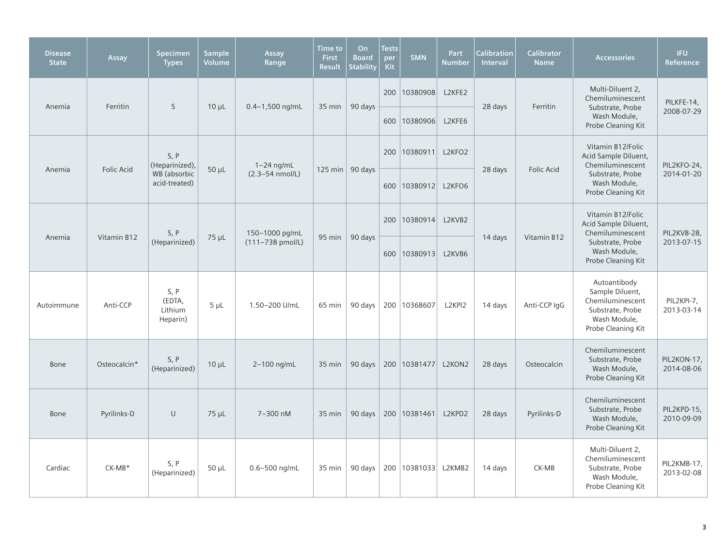| <b>Disease</b><br><b>State</b> | Assay        | <b>Specimen</b><br><b>Types</b>       | <b>Sample</b><br>Volume | Assay<br>Range              | <b>Time to</b><br><b>First</b><br><b>Result</b> | <b>On</b><br><b>Board</b><br><b>Stability</b> | <b>Tests</b><br>per<br>Kit | <b>SMN</b>     | Part<br><b>Number</b> | <b>Calibration</b><br>Interval | <b>Calibrator</b><br><b>Name</b> | <b>Accessories</b>                                                                                            | <b>IFU</b><br><b>Reference</b> |
|--------------------------------|--------------|---------------------------------------|-------------------------|-----------------------------|-------------------------------------------------|-----------------------------------------------|----------------------------|----------------|-----------------------|--------------------------------|----------------------------------|---------------------------------------------------------------------------------------------------------------|--------------------------------|
| Anemia                         | Ferritin     | S                                     | $10 \mu L$              | $0.4 - 1,500$ ng/mL         | 35 min                                          | 90 days                                       |                            | 200   10380908 | L2KFE2                | 28 days                        | Ferritin                         | Multi-Diluent 2,<br>Chemiluminescent<br>Substrate, Probe                                                      | PILKFE-14,                     |
|                                |              |                                       |                         |                             |                                                 |                                               |                            | 600   10380906 | L2KFE6                |                                |                                  | Wash Module,<br>Probe Cleaning Kit                                                                            | 2008-07-29                     |
|                                |              | S, P<br>(Heparinized),                |                         | $1-24$ ng/mL                |                                                 |                                               |                            | 200   10380911 | L2KFO2                |                                |                                  | Vitamin B12/Folic<br>Acid Sample Diluent,<br>Chemiluminescent                                                 | PIL2KFO-24,                    |
| Anemia                         | Folic Acid   | WB (absorbic<br>acid-treated)         | $50 \mu L$              | $(2.3 - 54 \text{ nmol/L})$ |                                                 | 125 min   90 days                             |                            | 600 10380912   | L2KFO6                | 28 days                        | Folic Acid                       | Substrate, Probe<br>Wash Module,<br>Probe Cleaning Kit                                                        | 2014-01-20                     |
|                                |              | S, P                                  |                         | 150-1000 pg/mL              |                                                 |                                               |                            | 200 10380914   | L2KVB2                |                                |                                  | Vitamin B12/Folic<br>Acid Sample Diluent,<br>Chemiluminescent                                                 | PIL2KVB-28,                    |
| Anemia                         | Vitamin B12  | (Heparinized)                         | 75 µL                   | (111-738 pmol/L)            | 95 min                                          | 90 days                                       |                            | 600 10380913   | L2KVB6                | 14 days                        | Vitamin B12                      | Substrate, Probe<br>Wash Module,<br>Probe Cleaning Kit                                                        | 2013-07-15                     |
| Autoimmune                     | Anti-CCP     | S, P<br>(EDTA,<br>Lithium<br>Heparin) | $5 \mu L$               | 1.50-200 U/mL               | 65 min                                          | 90 days                                       |                            | 200 10368607   | L2KPI2                | 14 days                        | Anti-CCP IqG                     | Autoantibody<br>Sample Diluent,<br>Chemiluminescent<br>Substrate, Probe<br>Wash Module,<br>Probe Cleaning Kit | PIL2KPI-7,<br>2013-03-14       |
| Bone                           | Osteocalcin* | S, P<br>(Heparinized)                 | $10 \mu L$              | 2-100 ng/mL                 | 35 min                                          | 90 days                                       |                            | 200 10381477   | L2KON2                | 28 days                        | Osteocalcin                      | Chemiluminescent<br>Substrate, Probe<br>Wash Module,<br>Probe Cleaning Kit                                    | PIL2KON-17,<br>2014-08-06      |
| Bone                           | Pyrilinks-D  | $\cup$                                | $75 \mu L$              | 7-300 nM                    | 35 min                                          | 90 days                                       |                            | 200 10381461   | L2KPD2                | 28 days                        | Pyrilinks-D                      | Chemiluminescent<br>Substrate, Probe<br>Wash Module,<br>Probe Cleaning Kit                                    | PIL2KPD-15,<br>2010-09-09      |
| Cardiac                        | $CK-MB*$     | S, P<br>(Heparinized)                 | $50 \mu L$              | $0.6 - 500$ ng/mL           | 35 min                                          | 90 days                                       |                            | 200   10381033 | L2KMB2                | 14 days                        | CK-MB                            | Multi-Diluent 2.<br>Chemiluminescent<br>Substrate, Probe<br>Wash Module,<br>Probe Cleaning Kit                | PIL2KMB-17,<br>2013-02-08      |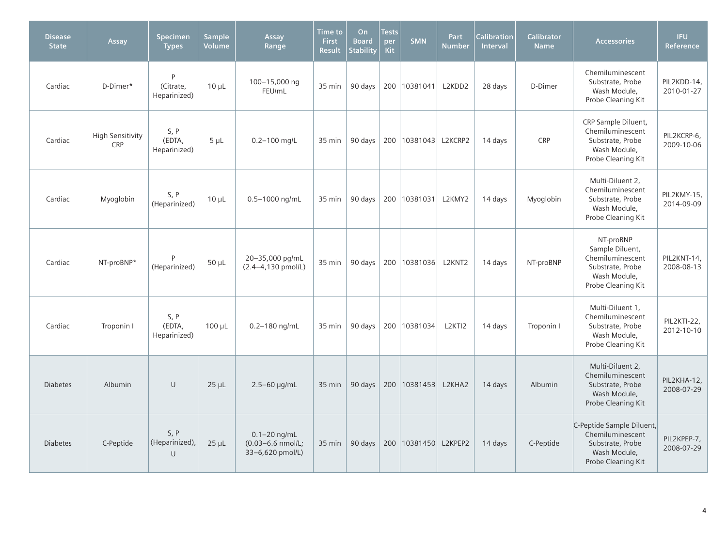| <b>Disease</b><br><b>State</b> | Assay                                 | <b>Specimen</b><br><b>Types</b> | <b>Sample</b><br><b>Volume</b> | Assay<br>Range                                            | <b>Time to</b><br><b>First</b><br><b>Result</b> | On<br><b>Board</b><br><b>Stability</b> | <b>Tests</b><br>per<br><b>Kit</b> | <b>SMN</b>               | Part<br><b>Number</b> | <b>Calibration</b><br>Interval | <b>Calibrator</b><br><b>Name</b> | <b>Accessories</b>                                                                                         | <b>IFU</b><br>Reference   |
|--------------------------------|---------------------------------------|---------------------------------|--------------------------------|-----------------------------------------------------------|-------------------------------------------------|----------------------------------------|-----------------------------------|--------------------------|-----------------------|--------------------------------|----------------------------------|------------------------------------------------------------------------------------------------------------|---------------------------|
| Cardiac                        | D-Dimer*                              | P<br>(Citrate,<br>Heparinized)  | $10 \mu L$                     | 100-15,000 ng<br>FEU/mL                                   | 35 min                                          | 90 days                                |                                   | 200 10381041             | L2KDD2                | 28 days                        | D-Dimer                          | Chemiluminescent<br>Substrate, Probe<br>Wash Module,<br>Probe Cleaning Kit                                 | PIL2KDD-14,<br>2010-01-27 |
| Cardiac                        | <b>High Sensitivity</b><br><b>CRP</b> | S, P<br>(EDTA,<br>Heparinized)  | $5 \mu L$                      | $0.2 - 100$ mg/L                                          | 35 min                                          | 90 days                                |                                   | 200   10381043   L2KCRP2 |                       | 14 days                        | <b>CRP</b>                       | CRP Sample Diluent,<br>Chemiluminescent<br>Substrate, Probe<br>Wash Module,<br>Probe Cleaning Kit          | PIL2KCRP-6,<br>2009-10-06 |
| Cardiac                        | Myoglobin                             | S, P<br>(Heparinized)           | $10 \mu L$                     | 0.5-1000 ng/mL                                            | 35 min                                          | 90 days                                |                                   | 200 10381031             | L2KMY2                | 14 days                        | Myoglobin                        | Multi-Diluent 2,<br>Chemiluminescent<br>Substrate, Probe<br>Wash Module,<br>Probe Cleaning Kit             | PIL2KMY-15,<br>2014-09-09 |
| Cardiac                        | NT-proBNP*                            | (Heparinized)                   | $50 \mu L$                     | 20-35,000 pg/mL<br>(2.4-4,130 pmol/L)                     | 35 min                                          | 90 days                                |                                   | 200   10381036           | L2KNT2                | 14 days                        | NT-proBNP                        | NT-proBNP<br>Sample Diluent,<br>Chemiluminescent<br>Substrate, Probe<br>Wash Module,<br>Probe Cleaning Kit | PIL2KNT-14,<br>2008-08-13 |
| Cardiac                        | Troponin I                            | S, P<br>(EDTA,<br>Heparinized)  | $100 \mu L$                    | $0.2 - 180$ ng/mL                                         | 35 min                                          | 90 days                                |                                   | 200 10381034             | L2KTI2                | 14 days                        | Troponin I                       | Multi-Diluent 1,<br>Chemiluminescent<br>Substrate, Probe<br>Wash Module,<br>Probe Cleaning Kit             | PIL2KTI-22,<br>2012-10-10 |
| <b>Diabetes</b>                | Albumin                               | $\cup$                          | $25 \mu L$                     | 2.5-60 µg/mL                                              | 35 min                                          | 90 days                                |                                   | 200   10381453           | L2KHA2                | 14 days                        | Albumin                          | Multi-Diluent 2,<br>Chemiluminescent<br>Substrate, Probe<br>Wash Module,<br>Probe Cleaning Kit             | PIL2KHA-12,<br>2008-07-29 |
| <b>Diabetes</b>                | C-Peptide                             | S, P<br>(Heparinized),<br>U     | $25 \mu L$                     | $0.1 - 20$ ng/mL<br>(0.03-6.6 nmol/L;<br>33-6,620 pmol/L) | 35 min                                          | 90 days                                |                                   | 200   10381450   L2KPEP2 |                       | 14 days                        | C-Peptide                        | C-Peptide Sample Diluent,<br>Chemiluminescent<br>Substrate, Probe<br>Wash Module,<br>Probe Cleaning Kit    | PIL2KPEP-7,<br>2008-07-29 |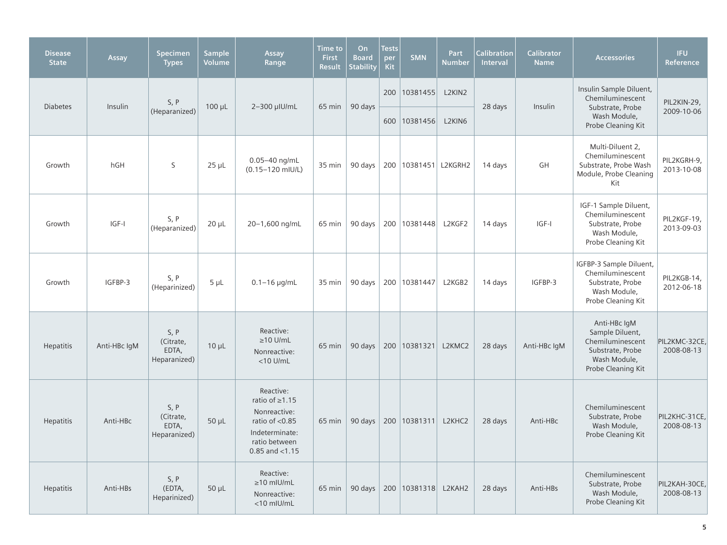| <b>Disease</b><br><b>State</b> | Assay        | Specimen<br><b>Types</b>                   | <b>Sample</b><br>Volume | Assay<br>Range                                                                                                             | Time to<br><b>First</b><br><b>Result</b> | On<br><b>Board</b><br><b>Stability</b> | <b>Tests</b><br>per<br><b>Kit</b> | SMN                      | Part<br><b>Number</b> | <b>Calibration</b><br><b>Interval</b> | <b>Calibrator</b><br><b>Name</b> | <b>Accessories</b>                                                                                            | <b>IFU</b><br>Reference     |
|--------------------------------|--------------|--------------------------------------------|-------------------------|----------------------------------------------------------------------------------------------------------------------------|------------------------------------------|----------------------------------------|-----------------------------------|--------------------------|-----------------------|---------------------------------------|----------------------------------|---------------------------------------------------------------------------------------------------------------|-----------------------------|
| <b>Diabetes</b>                | Insulin      | S, P                                       | $100 \mu L$             | 2-300 µIU/mL                                                                                                               | 65 min                                   | 90 days                                |                                   | 200   10381455           | L2KIN2                | 28 days                               | Insulin                          | Insulin Sample Diluent,<br>Chemiluminescent<br>Substrate, Probe                                               | PIL2KIN-29,                 |
|                                |              | (Heparanized)                              |                         |                                                                                                                            |                                          |                                        |                                   | 600 10381456             | L2KIN6                |                                       |                                  | Wash Module,<br>Probe Cleaning Kit                                                                            | 2009-10-06                  |
| Growth                         | hGH          | S                                          | $25 \mu L$              | 0.05-40 ng/mL<br>(0.15-120 mIU/L)                                                                                          | 35 min                                   | 90 days                                |                                   | 200   10381451   L2KGRH2 |                       | 14 days                               | GH                               | Multi-Diluent 2,<br>Chemiluminescent<br>Substrate, Probe Wash<br>Module, Probe Cleaning<br>Kit                | PIL2KGRH-9,<br>2013-10-08   |
| Growth                         | $ GF- $      | S, P<br>(Heparanized)                      | $20 \mu L$              | 20-1,600 ng/mL                                                                                                             | 65 min                                   | 90 days                                |                                   | 200 10381448             | L2KGF2                | 14 days                               | IGF-I                            | IGF-1 Sample Diluent,<br>Chemiluminescent<br>Substrate, Probe<br>Wash Module,<br>Probe Cleaning Kit           | PIL2KGF-19,<br>2013-09-03   |
| Growth                         | IGFBP-3      | S, P<br>(Heparinized)                      | $5 \mu L$               | $0.1 - 16$ µg/mL                                                                                                           | 35 min                                   | 90 days                                |                                   | 200 10381447             | L2KGB2                | 14 days                               | IGFBP-3                          | IGFBP-3 Sample Diluent,<br>Chemiluminescent<br>Substrate, Probe<br>Wash Module,<br>Probe Cleaning Kit         | PIL2KGB-14,<br>2012-06-18   |
| <b>Hepatitis</b>               | Anti-HBc IqM | S, P<br>(Citrate,<br>EDTA,<br>Heparanized) | $10 \mu L$              | Reactive:<br>$\geq$ 10 U/mL<br>Nonreactive:<br>$<$ 10 U/mL                                                                 | 65 min                                   | 90 days                                |                                   | 200   10381321           | L2KMC2                | 28 days                               | Anti-HBc IqM                     | Anti-HBc IgM<br>Sample Diluent,<br>Chemiluminescent<br>Substrate, Probe<br>Wash Module,<br>Probe Cleaning Kit | PIL2KMC-32CE<br>2008-08-13  |
| <b>Hepatitis</b>               | Anti-HBc     | S, P<br>(Citrate,<br>EDTA,<br>Heparanized) | $50 \mu L$              | Reactive:<br>ratio of ≥1.15<br>Nonreactive:<br>ratio of $< 0.85$<br>Indeterminate:<br>ratio between<br>$0.85$ and $< 1.15$ | 65 min                                   | 90 days                                |                                   | 200   10381311           | L2KHC2                | 28 days                               | Anti-HBc                         | Chemiluminescent<br>Substrate, Probe<br>Wash Module,<br>Probe Cleaning Kit                                    | PIL2KHC-31CE<br>2008-08-13  |
| <b>Hepatitis</b>               | Anti-HBs     | S, P<br>(EDTA,<br>Heparinized)             | $50 \mu L$              | Reactive:<br>$\geq$ 10 mIU/mL<br>Nonreactive:<br><10 mIU/mL                                                                | $65 \text{ min}$                         | 90 days                                |                                   | 200   10381318           | L2KAH2                | 28 days                               | Anti-HBs                         | Chemiluminescent<br>Substrate, Probe<br>Wash Module,<br>Probe Cleaning Kit                                    | PIL2KAH-30CE,<br>2008-08-13 |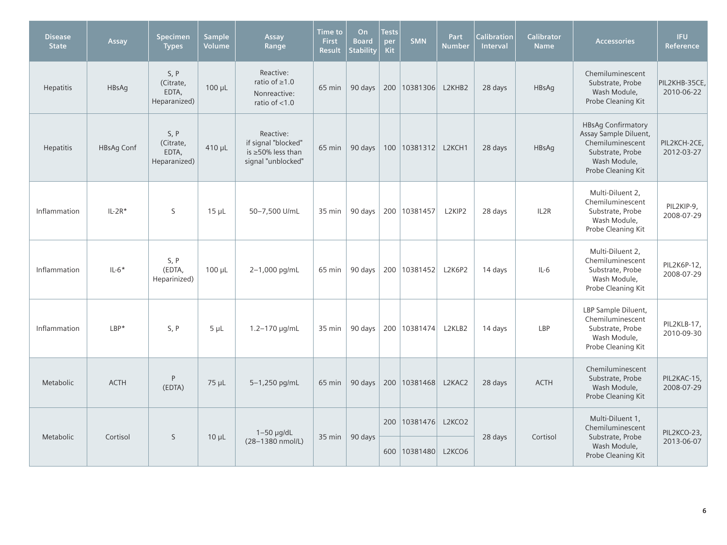| <b>Disease</b><br><b>State</b> | Assay             | Specimen<br><b>Types</b>                   | <b>Sample</b><br>Volume | Assay<br>Range                                                                    | <b>Time to</b><br><b>First</b><br><b>Result</b> | On<br><b>Board</b><br><b>Stability</b> | <b>Tests</b><br>per<br><b>Kit</b> | <b>SMN</b>     | Part<br><b>Number</b>           | <b>Calibration</b><br><b>Interval</b> | <b>Calibrator</b><br><b>Name</b> | <b>Accessories</b>                                                                                                               | <b>IFU</b><br>Reference     |
|--------------------------------|-------------------|--------------------------------------------|-------------------------|-----------------------------------------------------------------------------------|-------------------------------------------------|----------------------------------------|-----------------------------------|----------------|---------------------------------|---------------------------------------|----------------------------------|----------------------------------------------------------------------------------------------------------------------------------|-----------------------------|
| <b>Hepatitis</b>               | HBsAg             | S, P<br>(Citrate,<br>EDTA,<br>Heparanized) | $100 \mu L$             | Reactive:<br>ratio of $\geq 1.0$<br>Nonreactive:<br>ratio of $<$ 1.0              | 65 min                                          | 90 days                                |                                   | 200 10381306   | L2KHB2                          | 28 days                               | HBsAg                            | Chemiluminescent<br>Substrate, Probe<br>Wash Module,<br>Probe Cleaning Kit                                                       | PIL2KHB-35CE.<br>2010-06-22 |
| <b>Hepatitis</b>               | <b>HBsAg Conf</b> | S, P<br>(Citrate,<br>EDTA,<br>Heparanized) | $410 \mu L$             | Reactive:<br>if signal "blocked"<br>is $\geq$ 50% less than<br>signal "unblocked" | 65 min                                          | 90 days                                |                                   | 100   10381312 | L2KCH1                          | 28 days                               | <b>HBsAq</b>                     | <b>HBsAg Confirmatory</b><br>Assay Sample Diluent,<br>Chemiluminescent<br>Substrate, Probe<br>Wash Module,<br>Probe Cleaning Kit | PIL2KCH-2CE,<br>2012-03-27  |
| Inflammation                   | $IL-2R*$          | S                                          | $15 \mu L$              | 50-7,500 U/mL                                                                     | 35 min                                          | 90 days                                |                                   | 200 10381457   | L <sub>2</sub> KIP <sub>2</sub> | 28 days                               | IL2R                             | Multi-Diluent 2,<br>Chemiluminescent<br>Substrate, Probe<br>Wash Module,<br>Probe Cleaning Kit                                   | PIL2KIP-9,<br>2008-07-29    |
| Inflammation                   | $IL-6*$           | S, P<br>(EDTA,<br>Heparinized)             | $100 \mu L$             | 2-1,000 pg/mL                                                                     | 65 min                                          | 90 days                                |                                   | 200 10381452   | <b>L2K6P2</b>                   | 14 days                               | $IL-6$                           | Multi-Diluent 2.<br>Chemiluminescent<br>Substrate, Probe<br>Wash Module,<br>Probe Cleaning Kit                                   | PIL2K6P-12,<br>2008-07-29   |
| Inflammation                   | $LBP*$            | S, P                                       | $5 \mu L$               | 1.2-170 µg/mL                                                                     | 35 min                                          | 90 days                                |                                   | 200 10381474   | L2KLB2                          | 14 days                               | LBP                              | LBP Sample Diluent,<br>Chemiluminescent<br>Substrate, Probe<br>Wash Module,<br>Probe Cleaning Kit                                | PIL2KLB-17,<br>2010-09-30   |
| Metabolic                      | <b>ACTH</b>       | P<br>(EDTA)                                | $75 \mu L$              | 5-1,250 pg/mL                                                                     | 65 min                                          | 90 days                                |                                   | 200 10381468   | L2KAC2                          | 28 days                               | <b>ACTH</b>                      | Chemiluminescent<br>Substrate, Probe<br>Wash Module,<br>Probe Cleaning Kit                                                       | PIL2KAC-15,<br>2008-07-29   |
| Metabolic                      | Cortisol          | S                                          | $10 \mu L$              | $1-50$ µg/dL                                                                      | 35 min                                          | 90 days                                |                                   | 200   10381476 | L <sub>2</sub> KCO <sub>2</sub> | 28 days                               | Cortisol                         | Multi-Diluent 1.<br>Chemiluminescent<br>Substrate, Probe                                                                         | PIL2KCO-23,                 |
|                                |                   |                                            |                         | (28-1380 nmol/L)                                                                  |                                                 |                                        |                                   | 600 10381480   | L2KCO6                          |                                       |                                  | Wash Module,<br>Probe Cleaning Kit                                                                                               | 2013-06-07                  |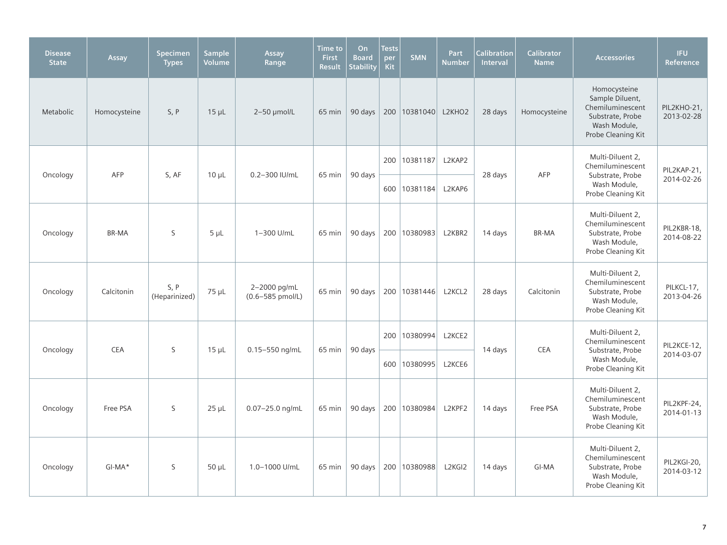| <b>Disease</b><br><b>State</b> | Assay        | Specimen<br><b>Types</b> | <b>Sample</b><br>Volume | Assay<br>Range                       | <b>Time to</b><br><b>First</b><br><b>Result</b> | On<br><b>Board</b><br><b>Stability</b> | <b>Tests</b><br>per<br>Kit | <b>SMN</b>     | Part<br><b>Number</b> | <b>Calibration</b><br>Interval | <b>Calibrator</b><br><b>Name</b> | <b>Accessories</b>                                                                                            | <b>IFU</b><br><b>Reference</b> |
|--------------------------------|--------------|--------------------------|-------------------------|--------------------------------------|-------------------------------------------------|----------------------------------------|----------------------------|----------------|-----------------------|--------------------------------|----------------------------------|---------------------------------------------------------------------------------------------------------------|--------------------------------|
| Metabolic                      | Homocysteine | S, P                     | $15 \mu L$              | 2-50 µmol/L                          | 65 min                                          | 90 days                                |                            | 200   10381040 | L2KHO2                | 28 days                        | Homocysteine                     | Homocysteine<br>Sample Diluent,<br>Chemiluminescent<br>Substrate, Probe<br>Wash Module,<br>Probe Cleaning Kit | PIL2KHO-21,<br>2013-02-28      |
| Oncology                       | AFP          | S, AF                    | $10 \mu L$              | 0.2-300 IU/mL                        | 65 min                                          | 90 days                                |                            | 200 10381187   | L2KAP2                | 28 days                        | AFP                              | Multi-Diluent 2,<br>Chemiluminescent<br>Substrate, Probe                                                      | PIL2KAP-21,                    |
|                                |              |                          |                         |                                      |                                                 |                                        |                            | 600 10381184   | L2KAP6                |                                |                                  | Wash Module,<br>Probe Cleaning Kit                                                                            | 2014-02-26                     |
| Oncology                       | <b>BR-MA</b> | S                        | $5 \mu L$               | 1-300 U/mL                           | 65 min                                          | 90 days                                |                            | 200 10380983   | L2KBR2                | 14 days                        | <b>BR-MA</b>                     | Multi-Diluent 2,<br>Chemiluminescent<br>Substrate, Probe<br>Wash Module,<br>Probe Cleaning Kit                | PIL2KBR-18,<br>2014-08-22      |
| Oncology                       | Calcitonin   | S, P<br>(Heparinized)    | 75 µL                   | 2-2000 pg/mL<br>$(0.6 - 585$ pmol/L) | 65 min                                          | 90 days                                |                            | 200 10381446   | L2KCL2                | 28 days                        | Calcitonin                       | Multi-Diluent 2.<br>Chemiluminescent<br>Substrate, Probe<br>Wash Module,<br>Probe Cleaning Kit                | PILKCL-17,<br>2013-04-26       |
|                                | <b>CEA</b>   | S                        | $15 \mu L$              | 0.15-550 ng/mL                       | 65 min                                          | 90 days                                |                            | 200   10380994 | L2KCE2                | 14 days                        | <b>CEA</b>                       | Multi-Diluent 2,<br>Chemiluminescent                                                                          | PIL2KCE-12,                    |
| Oncology                       |              |                          |                         |                                      |                                                 |                                        | 600                        | 10380995       | L2KCE6                |                                |                                  | Substrate, Probe<br>Wash Module,<br>Probe Cleaning Kit                                                        | 2014-03-07                     |
| Oncology                       | Free PSA     | S                        | $25 \mu L$              | $0.07 - 25.0$ ng/mL                  | 65 min                                          | 90 days                                |                            | 200 10380984   | L2KPF2                | 14 days                        | Free PSA                         | Multi-Diluent 2,<br>Chemiluminescent<br>Substrate, Probe<br>Wash Module,<br>Probe Cleaning Kit                | PIL2KPF-24,<br>2014-01-13      |
| Oncology                       | $GI-MA*$     | S                        | $50 \mu L$              | 1.0-1000 U/mL                        | 65 min                                          | 90 days                                |                            | 200 10380988   | L2KGI2                | 14 days                        | GI-MA                            | Multi-Diluent 2,<br>Chemiluminescent<br>Substrate, Probe<br>Wash Module,<br>Probe Cleaning Kit                | PIL2KGI-20,<br>2014-03-12      |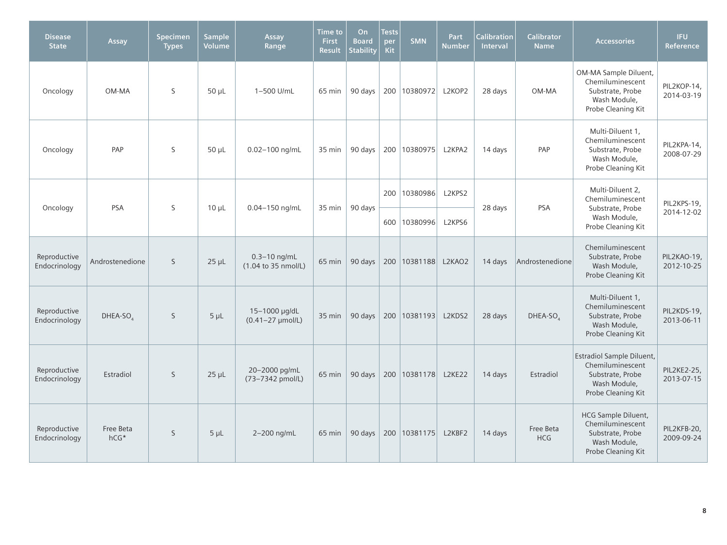| <b>Disease</b><br><b>State</b> | Assay               | Specimen<br><b>Types</b> | <b>Sample</b><br>Volume | Assay<br>Range                                             | <b>Time to</b><br><b>First</b><br><b>Result</b> | On<br><b>Board</b><br><b>Stability</b> | <b>Tests</b><br>per<br><b>Kit</b> | <b>SMN</b>          | Part<br><b>Number</b> | <b>Calibration</b><br>Interval | <b>Calibrator</b><br><b>Name</b> | <b>Accessories</b>                                                                                       | IFU.<br>Reference         |
|--------------------------------|---------------------|--------------------------|-------------------------|------------------------------------------------------------|-------------------------------------------------|----------------------------------------|-----------------------------------|---------------------|-----------------------|--------------------------------|----------------------------------|----------------------------------------------------------------------------------------------------------|---------------------------|
| Oncology                       | OM-MA               | S                        | $50 \mu L$              | 1-500 U/mL                                                 | 65 min                                          | 90 days                                |                                   | 200   10380972      | L2KOP2                | 28 days                        | OM-MA                            | OM-MA Sample Diluent,<br>Chemiluminescent<br>Substrate, Probe<br>Wash Module,<br>Probe Cleaning Kit      | PIL2KOP-14,<br>2014-03-19 |
| Oncology                       | PAP                 | S                        | $50 \mu L$              | $0.02 - 100$ ng/mL                                         | 35 min                                          | 90 days                                |                                   | 200   10380975      | L2KPA2                | 14 days                        | PAP                              | Multi-Diluent 1.<br>Chemiluminescent<br>Substrate, Probe<br>Wash Module,<br>Probe Cleaning Kit           | PIL2KPA-14,<br>2008-07-29 |
| Oncology                       | <b>PSA</b>          | S                        | $10 \mu L$              | 0.04-150 ng/mL                                             | 35 min                                          | 90 days                                |                                   | 200 10380986        | L2KPS2                | 28 days                        | <b>PSA</b>                       | Multi-Diluent 2,<br>Chemiluminescent<br>Substrate, Probe                                                 | PIL2KPS-19,               |
|                                |                     |                          |                         |                                                            |                                                 |                                        |                                   | 600 10380996        | L2KPS6                |                                |                                  | Wash Module,<br>Probe Cleaning Kit                                                                       | 2014-12-02                |
| Reproductive<br>Endocrinology  | Androstenedione     | $\mathsf{S}$             | $25 \mu L$              | $0.3 - 10$ ng/mL<br>$(1.04 \text{ to } 35 \text{ nmol/L})$ | 65 min                                          | 90 days                                |                                   | 200 10381188 L2KAO2 |                       | 14 days                        | Androstenedione                  | Chemiluminescent<br>Substrate, Probe<br>Wash Module,<br>Probe Cleaning Kit                               | PIL2KAO-19,<br>2012-10-25 |
| Reproductive<br>Endocrinology  | $DHEA-SOA$          | S                        | $5 \mu L$               | 15-1000 µg/dL<br>$(0.41 - 27 \mu mol/L)$                   | 35 min                                          | 90 days                                |                                   | 200   10381193      | L2KDS2                | 28 days                        | $DHEA-SO4$                       | Multi-Diluent 1,<br>Chemiluminescent<br>Substrate, Probe<br>Wash Module,<br>Probe Cleaning Kit           | PIL2KDS-19,<br>2013-06-11 |
| Reproductive<br>Endocrinology  | Estradiol           | S                        | $25 \mu L$              | 20-2000 pg/mL<br>(73-7342 pmol/L)                          | 65 min                                          | 90 days                                |                                   | 200   10381178      | L2KE22                | 14 days                        | Estradiol                        | Estradiol Sample Diluent,<br>Chemiluminescent<br>Substrate, Probe<br>Wash Module,<br>Probe Cleaning Kit  | PIL2KE2-25,<br>2013-07-15 |
| Reproductive<br>Endocrinology  | Free Beta<br>$hCG*$ | <sub>S</sub>             | $5 \mu L$               | 2-200 ng/mL                                                | 65 min                                          | 90 days                                |                                   | 200 10381175        | L2KBF2                | 14 days                        | Free Beta<br><b>HCG</b>          | <b>HCG Sample Diluent,</b><br>Chemiluminescent<br>Substrate, Probe<br>Wash Module,<br>Probe Cleaning Kit | PIL2KFB-20.<br>2009-09-24 |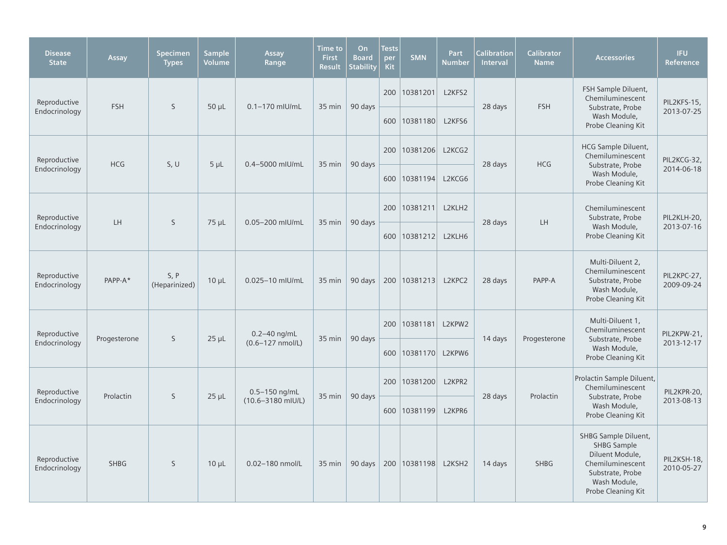| <b>Disease</b><br><b>State</b> | Assay        | Specimen<br><b>Types</b> | <b>Sample</b><br>Volume | Assay<br>Range        | Time to<br><b>First</b><br><b>Result</b> | On<br><b>Board</b><br><b>Stability</b> | <b>Tests</b><br>per<br><b>Kit</b> | <b>SMN</b>     | Part<br><b>Number</b> | Calibration<br>Interval | <b>Calibrator</b><br><b>Name</b> | <b>Accessories</b>                                                                                                                          | <b>IFU</b><br>Reference   |
|--------------------------------|--------------|--------------------------|-------------------------|-----------------------|------------------------------------------|----------------------------------------|-----------------------------------|----------------|-----------------------|-------------------------|----------------------------------|---------------------------------------------------------------------------------------------------------------------------------------------|---------------------------|
| Reproductive                   | <b>FSH</b>   | S                        | $50 \mu L$              | $0.1 - 170$ mlU/mL    | 35 min                                   | 90 days                                |                                   | 200 10381201   | L2KFS2                | 28 days                 | <b>FSH</b>                       | FSH Sample Diluent,<br>Chemiluminescent<br>Substrate, Probe                                                                                 | PIL2KFS-15,               |
| Endocrinology                  |              |                          |                         |                       |                                          |                                        | 600                               | 10381180       | L2KFS6                |                         |                                  | Wash Module,<br>Probe Cleaning Kit                                                                                                          | 2013-07-25                |
| Reproductive                   | <b>HCG</b>   | S, U                     | $5 \mu L$               | 0.4-5000 mIU/mL       | 35 min                                   | 90 days                                | 200                               | 10381206       | L2KCG2                | 28 days                 | <b>HCG</b>                       | <b>HCG Sample Diluent,</b><br>Chemiluminescent<br>Substrate, Probe                                                                          | PIL2KCG-32,               |
| Endocrinology                  |              |                          |                         |                       |                                          |                                        |                                   | 600 10381194   | L2KCG6                |                         |                                  | Wash Module,<br>Probe Cleaning Kit                                                                                                          | 2014-06-18                |
| Reproductive                   | LH           | S                        | 75 µL                   | 0.05-200 mIU/mL       | 35 min                                   | 90 days                                |                                   | 200 10381211   | L2KLH2                | 28 days                 | LH                               | Chemiluminescent<br>Substrate, Probe                                                                                                        | PIL2KLH-20,               |
| Endocrinology                  |              |                          |                         |                       |                                          |                                        | 600                               | 10381212       | L2KLH6                |                         |                                  | Wash Module,<br>Probe Cleaning Kit                                                                                                          | 2013-07-16                |
| Reproductive<br>Endocrinology  | PAPP-A*      | S, P<br>(Heparinized)    | $10 \mu L$              | 0.025-10 mIU/mL       | 35 min                                   | 90 days                                |                                   | 200   10381213 | L2KPC2                | 28 days                 | PAPP-A                           | Multi-Diluent 2,<br>Chemiluminescent<br>Substrate, Probe<br>Wash Module,<br>Probe Cleaning Kit                                              | PIL2KPC-27,<br>2009-09-24 |
| Reproductive                   |              | S                        |                         | $0.2 - 40$ ng/mL      |                                          | 90 days                                | 200                               | 10381181       | L2KPW2                |                         |                                  | Multi-Diluent 1.<br>Chemiluminescent                                                                                                        | PIL2KPW-21,               |
| Endocrinology                  | Progesterone |                          | $25 \mu L$              | $(0.6 - 127$ nmol/L)  | 35 min                                   |                                        |                                   | 600 10381170   | L2KPW6                | 14 days                 | Progesterone                     | Substrate, Probe<br>Wash Module,<br>Probe Cleaning Kit                                                                                      | 2013-12-17                |
| Reproductive                   | Prolactin    | S                        | $25 \mu L$              | $0.5 - 150$ ng/mL     | 35 min                                   | 90 days                                |                                   | 200 10381200   | L2KPR2                | 28 days                 | Prolactin                        | Prolactin Sample Diluent,<br>Chemiluminescent<br>Substrate, Probe                                                                           | PIL2KPR-20,               |
| Endocrinology                  |              |                          |                         | $(10.6 - 3180$ mIU/L) |                                          |                                        |                                   | 600 10381199   | L2KPR6                |                         |                                  | Wash Module,<br>Probe Cleaning Kit                                                                                                          | 2013-08-13                |
| Reproductive<br>Endocrinology  | <b>SHBG</b>  | <sub>S</sub>             | $10 \mu L$              | 0.02-180 nmol/L       | 35 min                                   | 90 days                                |                                   | 200   10381198 | L2KSH2                | 14 days                 | <b>SHBG</b>                      | SHBG Sample Diluent,<br><b>SHBG Sample</b><br>Diluent Module,<br>Chemiluminescent<br>Substrate, Probe<br>Wash Module,<br>Probe Cleaning Kit | PIL2KSH-18,<br>2010-05-27 |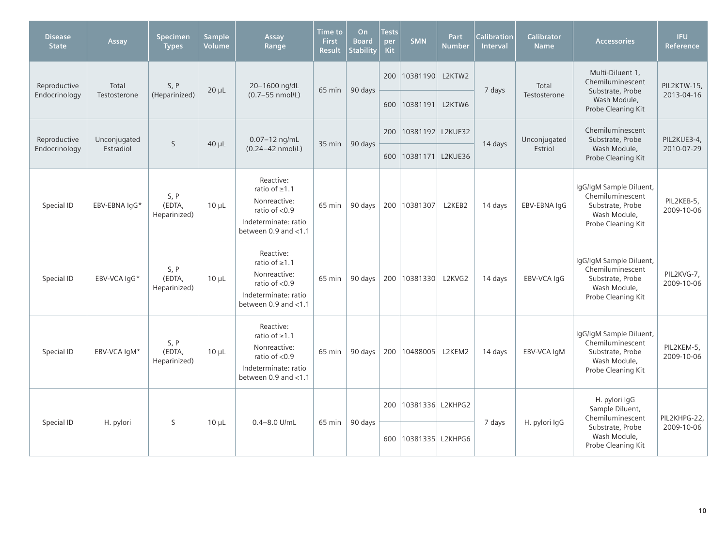| <b>Disease</b><br><b>State</b> | Assay         | <b>Specimen</b><br><b>Types</b> | <b>Sample</b><br>Volume | Assay<br>Range                                                                                                          | <b>Time to</b><br><b>First</b><br><b>Result</b> | On<br><b>Board</b><br><b>Stability</b> | <b>Tests</b><br>per<br>Kit | <b>SMN</b>           | Part<br><b>Number</b> | <b>Calibration</b><br>Interval | <b>Calibrator</b><br><b>Name</b> | <b>Accessories</b>                                                                                    | <b>IFU</b><br>Reference  |
|--------------------------------|---------------|---------------------------------|-------------------------|-------------------------------------------------------------------------------------------------------------------------|-------------------------------------------------|----------------------------------------|----------------------------|----------------------|-----------------------|--------------------------------|----------------------------------|-------------------------------------------------------------------------------------------------------|--------------------------|
| Reproductive                   | Total         | S, P                            |                         | 20-1600 ng/dL                                                                                                           |                                                 | 90 days                                | 200                        | 10381190 L2KTW2      |                       |                                | Total                            | Multi-Diluent 1,<br>Chemiluminescent                                                                  | PIL2KTW-15.              |
| Endocrinology                  | Testosterone  | (Heparinized)                   | $20 \mu L$              | $(0.7 - 55$ nmol/L)                                                                                                     | 65 min                                          |                                        |                            | 600   10381191       | L2KTW6                | 7 days                         | Testosterone                     | Substrate, Probe<br>Wash Module,<br>Probe Cleaning Kit                                                | 2013-04-16               |
| Reproductive                   | Unconjugated  | $\mathsf{S}$                    | $40 \mu L$              | 0.07-12 ng/mL                                                                                                           | $35 \text{ min}$                                | 90 days                                | 200                        | 10381192 L2KUE32     |                       | 14 days                        | Unconjugated                     | Chemiluminescent<br>Substrate, Probe                                                                  | PIL2KUE3-4,              |
| Endocrinology                  | Estradiol     |                                 |                         | (0.24-42 nmol/L)                                                                                                        |                                                 |                                        |                            | 600 10381171 L2KUE36 |                       |                                | Estriol                          | Wash Module,<br>Probe Cleaning Kit                                                                    | 2010-07-29               |
| Special ID                     | EBV-EBNA IgG* | S, P<br>(EDTA,<br>Heparinized)  | $10 \mu L$              | Reactive:<br>ratio of $\geq$ 1.1<br>Nonreactive:<br>ratio of $< 0.9$<br>Indeterminate: ratio<br>between 0.9 and <1.1    | 65 min                                          | 90 days                                |                            | 200 10381307         | L2KEB2                | 14 days                        | EBV-EBNA IgG                     | IgG/IgM Sample Diluent,<br>Chemiluminescent<br>Substrate, Probe<br>Wash Module,<br>Probe Cleaning Kit | PIL2KEB-5,<br>2009-10-06 |
| Special ID                     | EBV-VCA IqG*  | S, P<br>(EDTA,<br>Heparinized)  | $10 \mu L$              | Reactive:<br>ratio of $\geq 1.1$<br>Nonreactive:<br>ratio of $< 0.9$<br>Indeterminate: ratio<br>between 0.9 and <1.1    | 65 min                                          | 90 days                                |                            | 200   10381330       | L2KVG2                | 14 days                        | EBV-VCA IqG                      | IgG/IgM Sample Diluent,<br>Chemiluminescent<br>Substrate, Probe<br>Wash Module,<br>Probe Cleaning Kit | PIL2KVG-7,<br>2009-10-06 |
| Special ID                     | EBV-VCA IqM*  | S, P<br>(EDTA,<br>Heparinized)  | $10 \mu L$              | Reactive:<br>ratio of $\geq 1.1$<br>Nonreactive:<br>ratio of $<$ 0.9<br>Indeterminate: ratio<br>between 0.9 and $<$ 1.1 | 65 min                                          | 90 days                                |                            | 200   10488005       | L2KEM2                | 14 days                        | EBV-VCA IqM                      | IgG/IgM Sample Diluent,<br>Chemiluminescent<br>Substrate, Probe<br>Wash Module,<br>Probe Cleaning Kit | PIL2KEM-5,<br>2009-10-06 |
|                                |               |                                 |                         |                                                                                                                         |                                                 |                                        | 200                        | 10381336 L2KHPG2     |                       |                                |                                  | H. pylori IgG<br>Sample Diluent,<br>Chemiluminescent                                                  | PIL2KHPG-22,             |
| Special ID                     | H. pylori     | S                               | $10 \mu L$              | $0.4 - 8.0$ U/mL                                                                                                        | 65 min                                          | 90 days                                | 600                        | 10381335 L2KHPG6     |                       | 7 days                         | H. pylori IgG                    | Substrate, Probe<br>Wash Module,<br>Probe Cleaning Kit                                                | 2009-10-06               |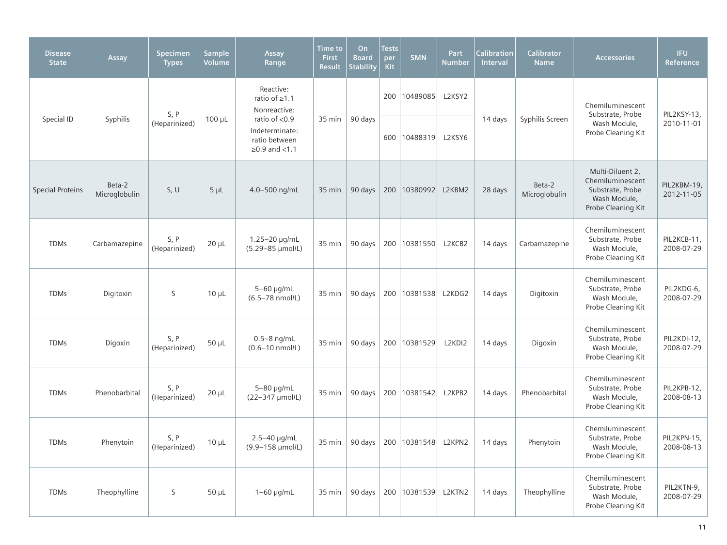| <b>Disease</b><br><b>State</b> | Assay                   | <b>Specimen</b><br><b>Types</b> | <b>Sample</b><br><b>Volume</b> | Assay<br>Range                                                      | Time to<br>First<br><b>Result</b> | On<br><b>Board</b><br><b>Stability</b> | <b>Tests</b><br>per<br><b>Kit</b> | <b>SMN</b>              | Part<br><b>Number</b> | <b>Calibration</b><br>Interval | <b>Calibrator</b><br><b>Name</b> | <b>Accessories</b>                                                                             | <b>IFU</b><br>Reference   |
|--------------------------------|-------------------------|---------------------------------|--------------------------------|---------------------------------------------------------------------|-----------------------------------|----------------------------------------|-----------------------------------|-------------------------|-----------------------|--------------------------------|----------------------------------|------------------------------------------------------------------------------------------------|---------------------------|
|                                |                         | S, P                            |                                | Reactive:<br>ratio of $\geq$ 1.1<br>Nonreactive:                    |                                   |                                        |                                   | 200   10489085          | L2KSY2                |                                |                                  | Chemiluminescent<br>Substrate, Probe                                                           | PIL2KSY-13,               |
| Special ID                     | Syphilis                | (Heparinized)                   | $100 \mu L$                    | ratio of <0.9<br>Indeterminate:<br>ratio between<br>$≥0.9$ and <1.1 | 35 min                            | 90 days                                |                                   | 600 10488319            | L2KSY6                | 14 days                        | Syphilis Screen                  | Wash Module,<br>Probe Cleaning Kit                                                             | 2010-11-01                |
| <b>Special Proteins</b>        | Beta-2<br>Microglobulin | S, U                            | $5 \mu L$                      | 4.0-500 ng/mL                                                       | 35 min                            | 90 days                                |                                   | 200   10380992          | L2KBM2                | 28 days                        | Beta-2<br>Microglobulin          | Multi-Diluent 2,<br>Chemiluminescent<br>Substrate, Probe<br>Wash Module,<br>Probe Cleaning Kit | PIL2KBM-19,<br>2012-11-05 |
| <b>TDMs</b>                    | Carbamazepine           | S, P<br>(Heparinized)           | $20 \mu L$                     | 1.25-20 µg/mL<br>(5.29-85 µmol/L)                                   | 35 min                            | 90 days                                |                                   | 200   10381550          | L2KCB2                | 14 days                        | Carbamazepine                    | Chemiluminescent<br>Substrate, Probe<br>Wash Module,<br>Probe Cleaning Kit                     | PIL2KCB-11,<br>2008-07-29 |
| <b>TDMs</b>                    | Digitoxin               | S                               | $10 \mu L$                     | 5-60 µg/mL<br>$(6.5 - 78 \text{ nmol/L})$                           | 35 min                            | 90 days                                |                                   | 200   10381538   L2KDG2 |                       | 14 days                        | Digitoxin                        | Chemiluminescent<br>Substrate, Probe<br>Wash Module,<br>Probe Cleaning Kit                     | PIL2KDG-6,<br>2008-07-29  |
| <b>TDMs</b>                    | Digoxin                 | S, P<br>(Heparinized)           | $50 \mu L$                     | $0.5-8$ ng/mL<br>$(0.6 - 10 \text{ nmol/L})$                        | 35 min                            | 90 days                                |                                   | 200 10381529            | L2KDI2                | 14 days                        | Digoxin                          | Chemiluminescent<br>Substrate, Probe<br>Wash Module,<br>Probe Cleaning Kit                     | PIL2KDI-12,<br>2008-07-29 |
| <b>TDMs</b>                    | Phenobarbital           | S, P<br>(Heparinized)           | $20 \mu L$                     | $5-80$ µg/mL<br>(22-347 µmol/L)                                     | 35 min                            | 90 days                                |                                   | 200   10381542          | L2KPB2                | 14 days                        | Phenobarbital                    | Chemiluminescent<br>Substrate, Probe<br>Wash Module,<br>Probe Cleaning Kit                     | PIL2KPB-12,<br>2008-08-13 |
| <b>TDMs</b>                    | Phenytoin               | S, P<br>(Heparinized)           | $10 \mu L$                     | $2.5 - 40$ µg/mL<br>(9.9-158 µmol/L)                                | 35 min                            | 90 days                                |                                   | 200   10381548          | L2KPN2                | 14 days                        | Phenytoin                        | Chemiluminescent<br>Substrate, Probe<br>Wash Module,<br>Probe Cleaning Kit                     | PIL2KPN-15,<br>2008-08-13 |
| <b>TDMs</b>                    | Theophylline            | S                               | $50 \mu L$                     | $1-60$ µg/mL                                                        | 35 min                            | 90 days                                |                                   | 200   10381539          | L2KTN2                | 14 days                        | Theophylline                     | Chemiluminescent<br>Substrate, Probe<br>Wash Module,<br>Probe Cleaning Kit                     | PIL2KTN-9,<br>2008-07-29  |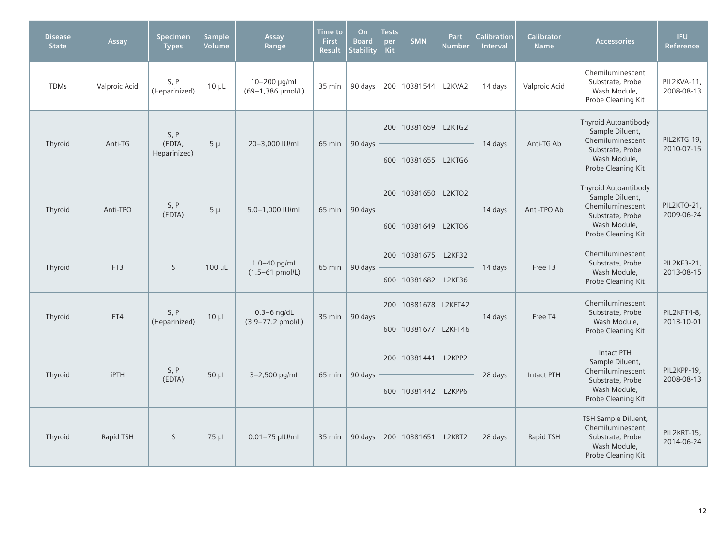| <b>Disease</b><br><b>State</b> | Assay           | Specimen<br><b>Types</b> | <b>Sample</b><br><b>Volume</b> | Assay<br>Range                    | <b>Time to</b><br><b>First</b><br><b>Result</b> | <b>On</b><br><b>Board</b><br><b>Stability</b> | <b>Tests</b><br>per<br><b>Kit</b> | <b>SMN</b>       | <b>Part</b><br><b>Number</b> | <b>Calibration</b><br>Interval | Calibrator<br><b>Name</b> | <b>Accessories</b>                                                                                | <b>IFU</b><br>Reference   |
|--------------------------------|-----------------|--------------------------|--------------------------------|-----------------------------------|-------------------------------------------------|-----------------------------------------------|-----------------------------------|------------------|------------------------------|--------------------------------|---------------------------|---------------------------------------------------------------------------------------------------|---------------------------|
| <b>TDMs</b>                    | Valproic Acid   | S, P<br>(Heparinized)    | $10 \mu L$                     | 10-200 µg/mL<br>(69-1,386 µmol/L) | 35 min                                          | 90 days                                       |                                   | 200 10381544     | L2KVA2                       | 14 days                        | Valproic Acid             | Chemiluminescent<br>Substrate, Probe<br>Wash Module,<br>Probe Cleaning Kit                        | PIL2KVA-11,<br>2008-08-13 |
| Thyroid                        | Anti-TG         | S, P<br>(EDTA,           | $5 \mu L$                      | 20-3,000 IU/mL                    | 65 min                                          | 90 days                                       | 200                               | 10381659         | L2KTG2                       | 14 days                        | Anti-TG Ab                | <b>Thyroid Autoantibody</b><br>Sample Diluent,<br>Chemiluminescent                                | PIL2KTG-19,               |
|                                |                 | Heparinized)             |                                |                                   |                                                 |                                               | 600                               | 10381655         | L2KTG6                       |                                |                           | Substrate, Probe<br>Wash Module,<br>Probe Cleaning Kit                                            | 2010-07-15                |
| Thyroid                        | Anti-TPO        | S, P                     | $5 \mu L$                      | 5.0-1,000 IU/mL                   | 65 min                                          | 90 days                                       | 200                               | 10381650         | L2KTO2                       | 14 days                        | Anti-TPO Ab               | Thyroid Autoantibody<br>Sample Diluent,<br>Chemiluminescent                                       | PIL2KTO-21,               |
|                                |                 | (EDTA)                   |                                |                                   |                                                 |                                               | 600                               | 10381649         | L2KTO6                       |                                |                           | Substrate, Probe<br>Wash Module,<br>Probe Cleaning Kit                                            | 2009-06-24                |
| Thyroid                        | FT <sub>3</sub> | S                        | $100 \mu L$                    | 1.0-40 pg/mL                      | 65 min                                          | 90 days                                       | 200                               | 10381675         | L2KF32                       | 14 days                        | Free T3                   | Chemiluminescent<br>Substrate, Probe                                                              | PIL2KF3-21,               |
|                                |                 |                          |                                | $(1.5 - 61 \text{ pmol/L})$       |                                                 |                                               | 600                               | 10381682         | <b>L2KF36</b>                |                                |                           | Wash Module,<br>Probe Cleaning Kit                                                                | 2013-08-15                |
| Thyroid                        | FT4             | S, P                     | $10 \mu L$                     | $0.3 - 6$ ng/dL                   | 35 min                                          | 90 days                                       | 200                               | 10381678 L2KFT42 |                              | 14 days                        | Free T4                   | Chemiluminescent<br>Substrate, Probe                                                              | PIL2KFT4-8,               |
|                                |                 | (Heparinized)            |                                | (3.9-77.2 pmol/L)                 |                                                 |                                               | 600                               | 10381677 L2KFT46 |                              |                                |                           | Wash Module,<br>Probe Cleaning Kit                                                                | 2013-10-01                |
| Thyroid                        | <b>iPTH</b>     | S, P                     | $50 \mu L$                     | 3-2,500 pg/mL                     |                                                 | 90 days                                       | 200                               | 10381441         | L2KPP2                       | 28 days                        | <b>Intact PTH</b>         | <b>Intact PTH</b><br>Sample Diluent,<br>Chemiluminescent                                          | PIL2KPP-19,               |
|                                |                 | (EDTA)                   |                                |                                   | 65 min                                          |                                               |                                   | 600 10381442     | L2KPP6                       |                                |                           | Substrate, Probe<br>Wash Module,<br>Probe Cleaning Kit                                            | 2008-08-13                |
| Thyroid                        | Rapid TSH       | S                        | $75 \mu L$                     | $0.01 - 75$ µlU/mL                | 35 min                                          | 90 days                                       |                                   | 200 10381651     | L2KRT2                       | 28 days                        | Rapid TSH                 | TSH Sample Diluent,<br>Chemiluminescent<br>Substrate, Probe<br>Wash Module,<br>Probe Cleaning Kit | PIL2KRT-15,<br>2014-06-24 |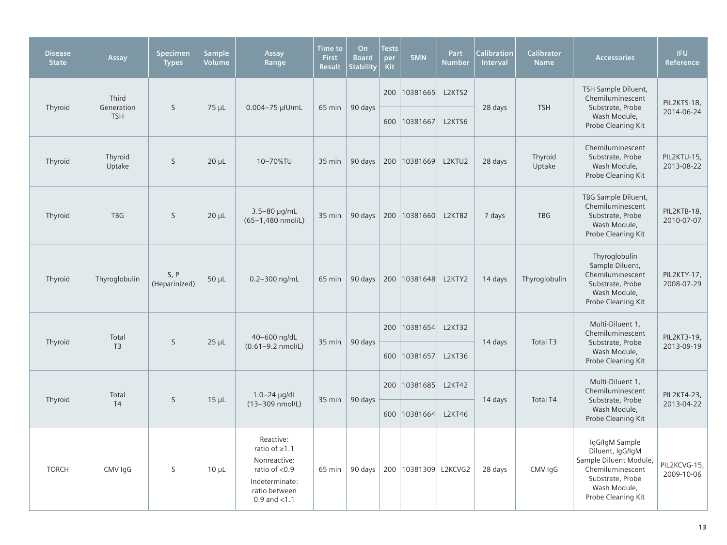| <b>Disease</b><br><b>State</b> | Assay               | Specimen<br><b>Types</b> | <b>Sample</b><br>Volume | Assay<br>Range                                                                                                          | <b>Time to</b><br><b>First</b><br><b>Result</b> | On<br><b>Board</b><br><b>Stability</b> | <b>Tests</b><br>per<br><b>Kit</b> | <b>SMN</b>             | Part<br><b>Number</b> | <b>Calibration</b><br>Interval | <b>Calibrator</b><br><b>Name</b> | <b>Accessories</b>                                                                                                                         | <b>IFU</b><br>Reference    |
|--------------------------------|---------------------|--------------------------|-------------------------|-------------------------------------------------------------------------------------------------------------------------|-------------------------------------------------|----------------------------------------|-----------------------------------|------------------------|-----------------------|--------------------------------|----------------------------------|--------------------------------------------------------------------------------------------------------------------------------------------|----------------------------|
| Thyroid                        | Third<br>Generation | S                        | $75 \mu L$              | 0.004-75 µIU/mL                                                                                                         | 65 min                                          | 90 days                                | 200                               | 10381665               | L2KTS2                | 28 days                        | <b>TSH</b>                       | TSH Sample Diluent,<br>Chemiluminescent<br>Substrate, Probe                                                                                | PIL2KTS-18,                |
|                                | <b>TSH</b>          |                          |                         |                                                                                                                         |                                                 |                                        |                                   | 600 10381667           | L2KTS6                |                                |                                  | Wash Module,<br>Probe Cleaning Kit                                                                                                         | 2014-06-24                 |
| Thyroid                        | Thyroid<br>Uptake   | $\mathsf{S}$             | $20 \mu L$              | 10-70%TU                                                                                                                | 35 min                                          | 90 days                                |                                   | 200   10381669         | L2KTU2                | 28 days                        | Thyroid<br>Uptake                | Chemiluminescent<br>Substrate, Probe<br>Wash Module,<br>Probe Cleaning Kit                                                                 | PIL2KTU-15,<br>2013-08-22  |
| Thyroid                        | <b>TBG</b>          | S                        | $20 \mu L$              | $3.5 - 80 \mu q/mL$<br>(65-1,480 nmol/L)                                                                                | 35 min                                          | 90 days                                |                                   | 200   10381660         | L2KTB2                | 7 days                         | <b>TBG</b>                       | TBG Sample Diluent,<br>Chemiluminescent<br>Substrate, Probe<br>Wash Module,<br>Probe Cleaning Kit                                          | PIL2KTB-18,<br>2010-07-07  |
| Thyroid                        | Thyroglobulin       | S, P<br>(Heparinized)    | $50 \mu L$              | 0.2-300 ng/mL                                                                                                           | 65 min                                          | 90 days                                |                                   | 200   10381648         | L2KTY2                | 14 days                        | Thyroglobulin                    | Thyroglobulin<br>Sample Diluent,<br>Chemiluminescent<br>Substrate, Probe<br>Wash Module,<br>Probe Cleaning Kit                             | PIL2KTY-17,<br>2008-07-29  |
|                                | Total               |                          |                         | 40-600 ng/dL                                                                                                            |                                                 |                                        |                                   | 200 10381654           | L2KT32                |                                |                                  | Multi-Diluent 1,<br>Chemiluminescent                                                                                                       | PIL2KT3-19,                |
| Thyroid                        | T <sub>3</sub>      | S                        | $25 \mu L$              | $(0.61 - 9.2$ nmol/L)                                                                                                   | 35 min                                          | 90 days                                |                                   | 600 10381657           | <b>L2KT36</b>         | 14 days                        | Total T3                         | Substrate, Probe<br>Wash Module,<br>Probe Cleaning Kit                                                                                     | 2013-09-19                 |
| Thyroid                        | Total               | $\mathsf{S}$             | $15 \mu L$              | $1.0 - 24$ µg/dL                                                                                                        | 35 min                                          | 90 days                                |                                   | 200   10381685         | <b>L2KT42</b>         | 14 days                        | <b>Total T4</b>                  | Multi-Diluent 1,<br>Chemiluminescent<br>Substrate, Probe                                                                                   | PIL2KT4-23,                |
|                                | T <sub>4</sub>      |                          |                         | (13-309 nmol/L)                                                                                                         |                                                 |                                        |                                   | 600 10381664           | <b>L2KT46</b>         |                                |                                  | Wash Module,<br>Probe Cleaning Kit                                                                                                         | 2013-04-22                 |
| <b>TORCH</b>                   | CMV IgG             | S                        | $10 \mu L$              | Reactive:<br>ratio of $\geq 1.1$<br>Nonreactive:<br>ratio of <0.9<br>Indeterminate:<br>ratio between<br>0.9 and $<$ 1.1 | 65 min                                          | 90 days                                |                                   | 200   10381309 L2KCVG2 |                       | 28 days                        | CMV IgG                          | IgG/IgM Sample<br>Diluent, IgG/IgM<br>Sample Diluent Module,<br>Chemiluminescent<br>Substrate, Probe<br>Wash Module,<br>Probe Cleaning Kit | PIL2KCVG-15,<br>2009-10-06 |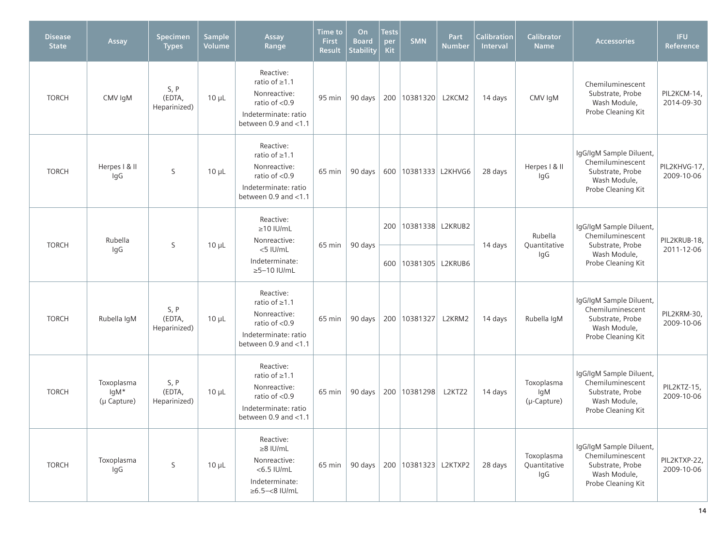| <b>Disease</b><br><b>State</b> | Assay                             | Specimen<br><b>Types</b>       | Sample<br>Volume | Assay<br>Range                                                                                                            | Time to<br><b>First</b><br>Result | On<br><b>Board</b><br><b>Stability</b> | Tests<br>per<br>Kit | <b>SMN</b>                         | Part<br><b>Number</b> | <b>Calibration</b><br><b>Interval</b> | <b>Calibrator</b><br><b>Name</b>  | <b>Accessories</b>                                                                                    | <b>IFU</b><br>Reference    |
|--------------------------------|-----------------------------------|--------------------------------|------------------|---------------------------------------------------------------------------------------------------------------------------|-----------------------------------|----------------------------------------|---------------------|------------------------------------|-----------------------|---------------------------------------|-----------------------------------|-------------------------------------------------------------------------------------------------------|----------------------------|
| <b>TORCH</b>                   | CMV IgM                           | S, P<br>(EDTA,<br>Heparinized) | $10 \mu L$       | Reactive:<br>ratio of $\geq 1.1$<br>Nonreactive:<br>ratio of $<$ 0.9<br>Indeterminate: ratio<br>between $0.9$ and $< 1.1$ | 95 min                            | 90 days                                |                     | 200   10381320                     | L2KCM2                | 14 days                               | CMV IgM                           | Chemiluminescent<br>Substrate, Probe<br>Wash Module,<br>Probe Cleaning Kit                            | PIL2KCM-14,<br>2014-09-30  |
| <b>TORCH</b>                   | Herpes I & II<br>IgG              | S                              | $10 \mu L$       | Reactive:<br>ratio of ≥1.1<br>Nonreactive:<br>ratio of $< 0.9$<br>Indeterminate: ratio<br>between $0.9$ and $< 1.1$       | 65 min                            | 90 days                                |                     | 600   10381333   L2KHVG6           |                       | 28 days                               | Herpes   & II<br>lgG              | IgG/IgM Sample Diluent,<br>Chemiluminescent<br>Substrate, Probe<br>Wash Module,<br>Probe Cleaning Kit | PIL2KHVG-17,<br>2009-10-06 |
| <b>TORCH</b>                   | Rubella<br>IgG                    | S                              | $10 \mu L$       | Reactive:<br>$\geq$ 10 IU/mL<br>Nonreactive:<br>65 min<br><5 IU/mL<br>Indeterminate:<br>$\geq$ 5-10 IU/mL                 |                                   |                                        |                     | 200 10381338 L2KRUB2               |                       | 14 days                               | Rubella<br>Quantitative<br>IgG    | IgG/IgM Sample Diluent,<br>Chemiluminescent<br>Substrate, Probe<br>Wash Module,<br>Probe Cleaning Kit | PIL2KRUB-18,<br>2011-12-06 |
|                                |                                   |                                |                  |                                                                                                                           |                                   | 90 days                                |                     | 600   10381305   L2KRUB6           |                       |                                       |                                   |                                                                                                       |                            |
| <b>TORCH</b>                   | Rubella IqM                       | S, P<br>(EDTA,<br>Heparinized) | $10 \mu L$       | Reactive:<br>ratio of $\geq 1.1$<br>Nonreactive:<br>ratio of $< 0.9$<br>Indeterminate: ratio<br>between 0.9 and <1.1      | 65 min                            | 90 days                                |                     | 200 10381327                       | L2KRM2                | 14 days                               | Rubella IqM                       | IgG/IgM Sample Diluent,<br>Chemiluminescent<br>Substrate, Probe<br>Wash Module,<br>Probe Cleaning Kit | PIL2KRM-30,<br>2009-10-06  |
| <b>TORCH</b>                   | Toxoplasma<br>lgM*<br>(µ Capture) | S, P<br>(EDTA,<br>Heparinized) | $10 \mu L$       | Reactive:<br>ratio of ≥1.1<br>Nonreactive:<br>ratio of $< 0.9$<br>Indeterminate: ratio<br>between 0.9 and $<$ 1.1         | 65 min                            |                                        |                     | 90 days   200   10381298           | L2KTZ2                | 14 days                               | Toxoplasma<br>lgM<br>(µ-Capture)  | IgG/IgM Sample Diluent,<br>Chemiluminescent<br>Substrate, Probe<br>Wash Module,<br>Probe Cleaning Kit | PIL2KTZ-15,<br>2009-10-06  |
| <b>TORCH</b>                   | Toxoplasma<br>IgG                 | S                              | $10 \mu L$       | Reactive:<br>$\geq 8$ IU/mL<br>Nonreactive:<br>$<$ 6.5 IU/mL<br>Indeterminate:<br>$\geq 6.5 - < 8$ IU/mL                  | 65 min                            |                                        |                     | 90 days   200   10381323   L2KTXP2 |                       | 28 days                               | Toxoplasma<br>Quantitative<br>IgG | IgG/IgM Sample Diluent,<br>Chemiluminescent<br>Substrate, Probe<br>Wash Module,<br>Probe Cleaning Kit | PIL2KTXP-22,<br>2009-10-06 |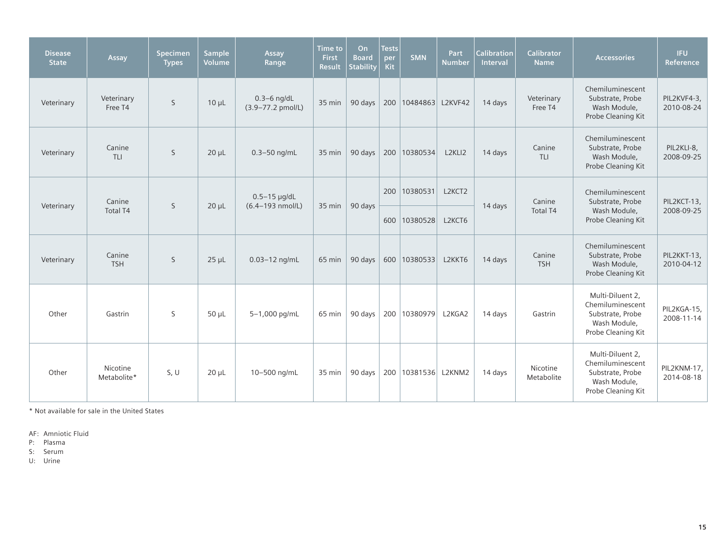| <b>Disease</b><br><b>State</b> | Assay                     | Specimen<br><b>Types</b> | <b>Sample</b><br>Volume | Assay<br>Range                                   | Time to<br>First<br><b>Result</b> | O <sub>n</sub><br><b>Board</b><br><b>Stability</b> | <b>Tests</b><br>per<br><b>Kit</b> | <b>SMN</b>               | Part<br><b>Number</b> | <b>Calibration</b><br>Interval | <b>Calibrator</b><br><b>Name</b> | <b>Accessories</b>                                                                             | <b>IFU</b><br>Reference   |
|--------------------------------|---------------------------|--------------------------|-------------------------|--------------------------------------------------|-----------------------------------|----------------------------------------------------|-----------------------------------|--------------------------|-----------------------|--------------------------------|----------------------------------|------------------------------------------------------------------------------------------------|---------------------------|
| Veterinary                     | Veterinary<br>Free T4     | $\mathsf{S}$             | $10 \mu L$              | $0.3 - 6$ ng/dL<br>$(3.9 - 77.2 \text{ pmol/L})$ | 35 min                            | 90 days                                            |                                   | 200   10484863   L2KVF42 |                       | 14 days                        | Veterinary<br>Free T4            | Chemiluminescent<br>Substrate, Probe<br>Wash Module,<br>Probe Cleaning Kit                     | PIL2KVF4-3,<br>2010-08-24 |
| Veterinary                     | Canine<br>TLI             | $\mathsf{S}$             | $20 \mu L$              | $0.3 - 50$ ng/mL                                 | 35 min                            | 90 days                                            |                                   | 200 10380534             | L2KLI2                | 14 days                        | Canine<br>TLI                    | Chemiluminescent<br>Substrate, Probe<br>Wash Module,<br>Probe Cleaning Kit                     | PIL2KLI-8,<br>2008-09-25  |
| Veterinary                     | Canine<br><b>Total T4</b> | S                        | $20 \mu L$              | $0.5-15$ µg/dL<br>$(6.4 - 193 \text{ nmol/L})$   | 35 min                            | 90 days                                            | 200                               | 10380531                 | L2KCT2                | 14 days                        | Canine<br>Total T4               | Chemiluminescent<br>Substrate, Probe<br>Wash Module,<br>Probe Cleaning Kit                     | PIL2KCT-13,<br>2008-09-25 |
|                                |                           |                          |                         |                                                  |                                   |                                                    |                                   | 600 10380528             | L2KCT6                |                                |                                  |                                                                                                |                           |
| Veterinary                     | Canine<br><b>TSH</b>      | S                        | $25 \mu L$              | $0.03 - 12$ ng/mL                                | 65 min                            | 90 days                                            |                                   | 600   10380533           | L2KKT6                | 14 days                        | Canine<br><b>TSH</b>             | Chemiluminescent<br>Substrate, Probe<br>Wash Module,<br>Probe Cleaning Kit                     | PIL2KKT-13,<br>2010-04-12 |
| Other                          | Gastrin                   | S                        | $50 \mu L$              | 5-1,000 pg/mL                                    | 65 min                            | 90 days                                            |                                   | 200   10380979           | L2KGA2                | 14 days                        | Gastrin                          | Multi-Diluent 2,<br>Chemiluminescent<br>Substrate, Probe<br>Wash Module,<br>Probe Cleaning Kit | PIL2KGA-15,<br>2008-11-14 |
| Other                          | Nicotine<br>Metabolite*   | S, U                     | $20 \mu L$              | 10-500 ng/mL                                     | 35 min                            | 90 days                                            |                                   | 200   10381536 L2KNM2    |                       | 14 days                        | Nicotine<br>Metabolite           | Multi-Diluent 2,<br>Chemiluminescent<br>Substrate, Probe<br>Wash Module,<br>Probe Cleaning Kit | PIL2KNM-17,<br>2014-08-18 |

\* Not available for sale in the United States

AF: Amniotic Fluid

P: Plasma

S: Serum

U: Urine